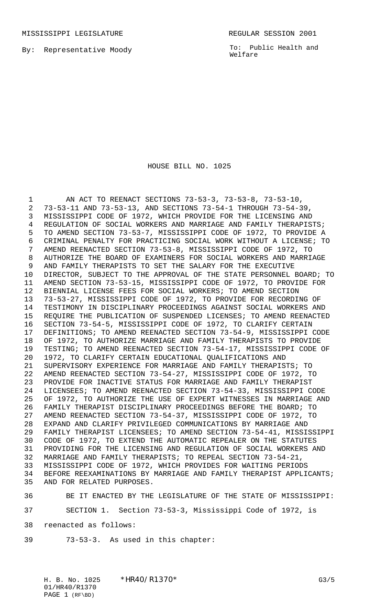MISSISSIPPI LEGISLATURE **REGULAR SESSION 2001** 

By: Representative Moody

To: Public Health and Welfare

## HOUSE BILL NO. 1025

 AN ACT TO REENACT SECTIONS 73-53-3, 73-53-8, 73-53-10, 73-53-11 AND 73-53-13, AND SECTIONS 73-54-1 THROUGH 73-54-39, MISSISSIPPI CODE OF 1972, WHICH PROVIDE FOR THE LICENSING AND REGULATION OF SOCIAL WORKERS AND MARRIAGE AND FAMILY THERAPISTS; TO AMEND SECTION 73-53-7, MISSISSIPPI CODE OF 1972, TO PROVIDE A CRIMINAL PENALTY FOR PRACTICING SOCIAL WORK WITHOUT A LICENSE; TO AMEND REENACTED SECTION 73-53-8, MISSISSIPPI CODE OF 1972, TO AUTHORIZE THE BOARD OF EXAMINERS FOR SOCIAL WORKERS AND MARRIAGE AND FAMILY THERAPISTS TO SET THE SALARY FOR THE EXECUTIVE DIRECTOR, SUBJECT TO THE APPROVAL OF THE STATE PERSONNEL BOARD; TO AMEND SECTION 73-53-15, MISSISSIPPI CODE OF 1972, TO PROVIDE FOR BIENNIAL LICENSE FEES FOR SOCIAL WORKERS; TO AMEND SECTION 73-53-27, MISSISSIPPI CODE OF 1972, TO PROVIDE FOR RECORDING OF TESTIMONY IN DISCIPLINARY PROCEEDINGS AGAINST SOCIAL WORKERS AND REQUIRE THE PUBLICATION OF SUSPENDED LICENSES; TO AMEND REENACTED SECTION 73-54-5, MISSISSIPPI CODE OF 1972, TO CLARIFY CERTAIN DEFINITIONS; TO AMEND REENACTED SECTION 73-54-9, MISSISSIPPI CODE OF 1972, TO AUTHORIZE MARRIAGE AND FAMILY THERAPISTS TO PROVIDE TESTING; TO AMEND REENACTED SECTION 73-54-17, MISSISSIPPI CODE OF 1972, TO CLARIFY CERTAIN EDUCATIONAL QUALIFICATIONS AND 21 SUPERVISORY EXPERIENCE FOR MARRIAGE AND FAMILY THERAPISTS; TO<br>22 AMEND REENACTED SECTION 73-54-27, MISSISSIPPI CODE OF 1972, TO AMEND REENACTED SECTION 73-54-27, MISSISSIPPI CODE OF 1972, TO PROVIDE FOR INACTIVE STATUS FOR MARRIAGE AND FAMILY THERAPIST LICENSEES; TO AMEND REENACTED SECTION 73-54-33, MISSISSIPPI CODE OF 1972, TO AUTHORIZE THE USE OF EXPERT WITNESSES IN MARRIAGE AND FAMILY THERAPIST DISCIPLINARY PROCEEDINGS BEFORE THE BOARD; TO AMEND REENACTED SECTION 73-54-37, MISSISSIPPI CODE OF 1972, TO 28 EXPAND AND CLARIFY PRIVILEGED COMMUNICATIONS BY MARRIAGE AND<br>29 FAMILY THERAPIST LICENSEES; TO AMEND SECTION 73-54-41, MISSIS FAMILY THERAPIST LICENSEES; TO AMEND SECTION 73-54-41, MISSISSIPPI CODE OF 1972, TO EXTEND THE AUTOMATIC REPEALER ON THE STATUTES PROVIDING FOR THE LICENSING AND REGULATION OF SOCIAL WORKERS AND MARRIAGE AND FAMILY THERAPISTS; TO REPEAL SECTION 73-54-21, MISSISSIPPI CODE OF 1972, WHICH PROVIDES FOR WAITING PERIODS BEFORE REEXAMINATIONS BY MARRIAGE AND FAMILY THERAPIST APPLICANTS; AND FOR RELATED PURPOSES.

 BE IT ENACTED BY THE LEGISLATURE OF THE STATE OF MISSISSIPPI: SECTION 1. Section 73-53-3, Mississippi Code of 1972, is

reenacted as follows:

73-53-3. As used in this chapter: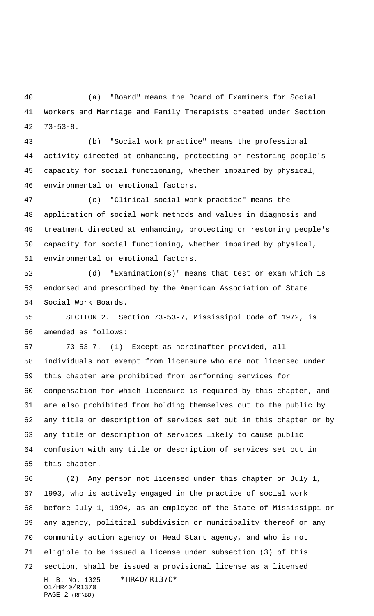(a) "Board" means the Board of Examiners for Social Workers and Marriage and Family Therapists created under Section 73-53-8.

 (b) "Social work practice" means the professional activity directed at enhancing, protecting or restoring people's capacity for social functioning, whether impaired by physical, environmental or emotional factors.

 (c) "Clinical social work practice" means the application of social work methods and values in diagnosis and treatment directed at enhancing, protecting or restoring people's capacity for social functioning, whether impaired by physical, environmental or emotional factors.

 (d) "Examination(s)" means that test or exam which is endorsed and prescribed by the American Association of State Social Work Boards.

 SECTION 2. Section 73-53-7, Mississippi Code of 1972, is amended as follows:

 73-53-7. (1) Except as hereinafter provided, all individuals not exempt from licensure who are not licensed under this chapter are prohibited from performing services for compensation for which licensure is required by this chapter, and are also prohibited from holding themselves out to the public by any title or description of services set out in this chapter or by any title or description of services likely to cause public confusion with any title or description of services set out in this chapter.

H. B. No. 1025 \*HR40/R1370\* 01/HR40/R1370 PAGE 2 (RF\BD) (2) Any person not licensed under this chapter on July 1, 1993, who is actively engaged in the practice of social work before July 1, 1994, as an employee of the State of Mississippi or any agency, political subdivision or municipality thereof or any community action agency or Head Start agency, and who is not eligible to be issued a license under subsection (3) of this section, shall be issued a provisional license as a licensed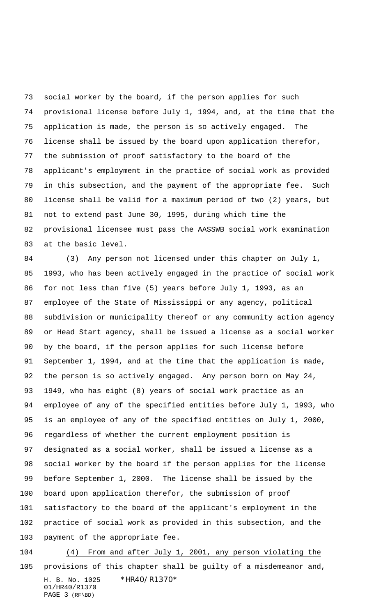social worker by the board, if the person applies for such provisional license before July 1, 1994, and, at the time that the application is made, the person is so actively engaged. The license shall be issued by the board upon application therefor, the submission of proof satisfactory to the board of the applicant's employment in the practice of social work as provided in this subsection, and the payment of the appropriate fee. Such license shall be valid for a maximum period of two (2) years, but not to extend past June 30, 1995, during which time the provisional licensee must pass the AASSWB social work examination at the basic level.

 (3) Any person not licensed under this chapter on July 1, 1993, who has been actively engaged in the practice of social work for not less than five (5) years before July 1, 1993, as an employee of the State of Mississippi or any agency, political subdivision or municipality thereof or any community action agency or Head Start agency, shall be issued a license as a social worker by the board, if the person applies for such license before September 1, 1994, and at the time that the application is made, the person is so actively engaged. Any person born on May 24, 1949, who has eight (8) years of social work practice as an employee of any of the specified entities before July 1, 1993, who is an employee of any of the specified entities on July 1, 2000, regardless of whether the current employment position is designated as a social worker, shall be issued a license as a social worker by the board if the person applies for the license before September 1, 2000. The license shall be issued by the board upon application therefor, the submission of proof satisfactory to the board of the applicant's employment in the practice of social work as provided in this subsection, and the payment of the appropriate fee.

H. B. No. 1025 \*HR40/R1370\* 01/HR40/R1370 PAGE 3 (RF\BD) (4) From and after July 1, 2001, any person violating the provisions of this chapter shall be guilty of a misdemeanor and,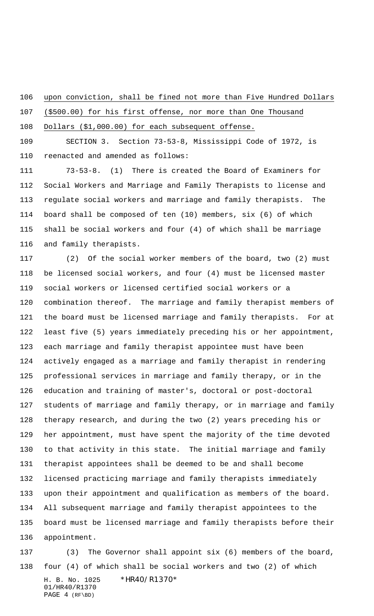upon conviction, shall be fined not more than Five Hundred Dollars

(\$500.00) for his first offense, nor more than One Thousand

Dollars (\$1,000.00) for each subsequent offense.

 SECTION 3. Section 73-53-8, Mississippi Code of 1972, is reenacted and amended as follows:

 73-53-8. (1) There is created the Board of Examiners for Social Workers and Marriage and Family Therapists to license and regulate social workers and marriage and family therapists. The board shall be composed of ten (10) members, six (6) of which shall be social workers and four (4) of which shall be marriage and family therapists.

 (2) Of the social worker members of the board, two (2) must be licensed social workers, and four (4) must be licensed master social workers or licensed certified social workers or a combination thereof. The marriage and family therapist members of the board must be licensed marriage and family therapists. For at least five (5) years immediately preceding his or her appointment, each marriage and family therapist appointee must have been actively engaged as a marriage and family therapist in rendering professional services in marriage and family therapy, or in the education and training of master's, doctoral or post-doctoral students of marriage and family therapy, or in marriage and family therapy research, and during the two (2) years preceding his or her appointment, must have spent the majority of the time devoted to that activity in this state. The initial marriage and family therapist appointees shall be deemed to be and shall become licensed practicing marriage and family therapists immediately upon their appointment and qualification as members of the board. All subsequent marriage and family therapist appointees to the board must be licensed marriage and family therapists before their appointment.

H. B. No. 1025 \*HR40/R1370\* 01/HR40/R1370 PAGE 4 (RF\BD) (3) The Governor shall appoint six (6) members of the board, four (4) of which shall be social workers and two (2) of which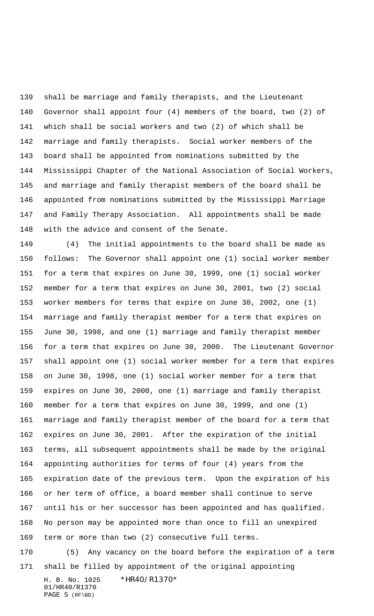shall be marriage and family therapists, and the Lieutenant Governor shall appoint four (4) members of the board, two (2) of which shall be social workers and two (2) of which shall be marriage and family therapists. Social worker members of the board shall be appointed from nominations submitted by the Mississippi Chapter of the National Association of Social Workers, and marriage and family therapist members of the board shall be appointed from nominations submitted by the Mississippi Marriage and Family Therapy Association. All appointments shall be made with the advice and consent of the Senate.

 (4) The initial appointments to the board shall be made as follows: The Governor shall appoint one (1) social worker member for a term that expires on June 30, 1999, one (1) social worker member for a term that expires on June 30, 2001, two (2) social worker members for terms that expire on June 30, 2002, one (1) marriage and family therapist member for a term that expires on June 30, 1998, and one (1) marriage and family therapist member for a term that expires on June 30, 2000. The Lieutenant Governor shall appoint one (1) social worker member for a term that expires on June 30, 1998, one (1) social worker member for a term that expires on June 30, 2000, one (1) marriage and family therapist member for a term that expires on June 30, 1999, and one (1) marriage and family therapist member of the board for a term that expires on June 30, 2001. After the expiration of the initial terms, all subsequent appointments shall be made by the original appointing authorities for terms of four (4) years from the expiration date of the previous term. Upon the expiration of his or her term of office, a board member shall continue to serve until his or her successor has been appointed and has qualified. No person may be appointed more than once to fill an unexpired term or more than two (2) consecutive full terms.

 (5) Any vacancy on the board before the expiration of a term shall be filled by appointment of the original appointing

H. B. No. 1025 \*HR40/R1370\* 01/HR40/R1370 PAGE 5 (RF\BD)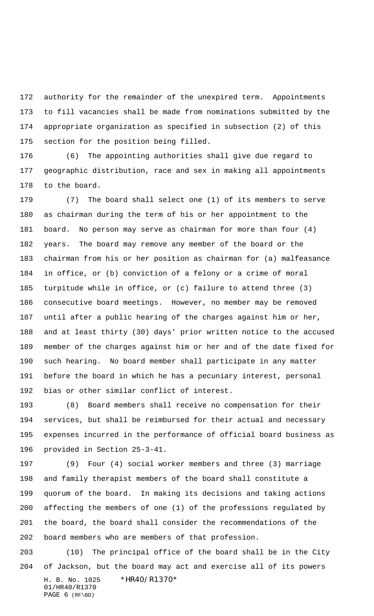authority for the remainder of the unexpired term. Appointments to fill vacancies shall be made from nominations submitted by the appropriate organization as specified in subsection (2) of this section for the position being filled.

 (6) The appointing authorities shall give due regard to geographic distribution, race and sex in making all appointments to the board.

 (7) The board shall select one (1) of its members to serve as chairman during the term of his or her appointment to the board. No person may serve as chairman for more than four (4) years. The board may remove any member of the board or the chairman from his or her position as chairman for (a) malfeasance in office, or (b) conviction of a felony or a crime of moral turpitude while in office, or (c) failure to attend three (3) consecutive board meetings. However, no member may be removed until after a public hearing of the charges against him or her, and at least thirty (30) days' prior written notice to the accused member of the charges against him or her and of the date fixed for such hearing. No board member shall participate in any matter before the board in which he has a pecuniary interest, personal bias or other similar conflict of interest.

 (8) Board members shall receive no compensation for their services, but shall be reimbursed for their actual and necessary expenses incurred in the performance of official board business as provided in Section 25-3-41.

 (9) Four (4) social worker members and three (3) marriage and family therapist members of the board shall constitute a quorum of the board. In making its decisions and taking actions affecting the members of one (1) of the professions regulated by the board, the board shall consider the recommendations of the board members who are members of that profession.

H. B. No. 1025 \*HR40/R1370\* 01/HR40/R1370 PAGE 6 (RF\BD) (10) The principal office of the board shall be in the City of Jackson, but the board may act and exercise all of its powers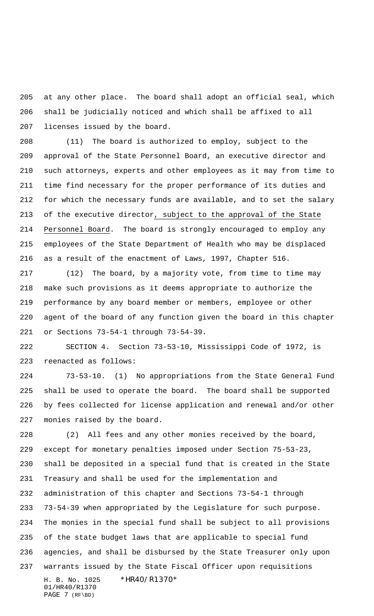at any other place. The board shall adopt an official seal, which shall be judicially noticed and which shall be affixed to all licenses issued by the board.

 (11) The board is authorized to employ, subject to the approval of the State Personnel Board, an executive director and such attorneys, experts and other employees as it may from time to time find necessary for the proper performance of its duties and for which the necessary funds are available, and to set the salary of the executive director, subject to the approval of the State Personnel Board. The board is strongly encouraged to employ any employees of the State Department of Health who may be displaced as a result of the enactment of Laws, 1997, Chapter 516.

 (12) The board, by a majority vote, from time to time may make such provisions as it deems appropriate to authorize the performance by any board member or members, employee or other agent of the board of any function given the board in this chapter or Sections 73-54-1 through 73-54-39.

 SECTION 4. Section 73-53-10, Mississippi Code of 1972, is reenacted as follows:

 73-53-10. (1) No appropriations from the State General Fund shall be used to operate the board. The board shall be supported by fees collected for license application and renewal and/or other monies raised by the board.

H. B. No. 1025 \*HR40/R1370\* 01/HR40/R1370 PAGE 7 (RF\BD) (2) All fees and any other monies received by the board, except for monetary penalties imposed under Section 75-53-23, shall be deposited in a special fund that is created in the State Treasury and shall be used for the implementation and administration of this chapter and Sections 73-54-1 through 73-54-39 when appropriated by the Legislature for such purpose. The monies in the special fund shall be subject to all provisions of the state budget laws that are applicable to special fund agencies, and shall be disbursed by the State Treasurer only upon warrants issued by the State Fiscal Officer upon requisitions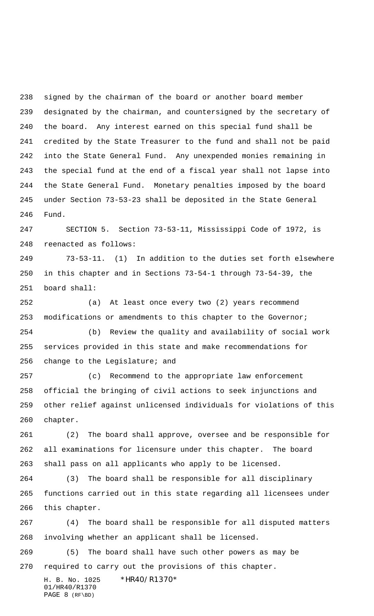signed by the chairman of the board or another board member designated by the chairman, and countersigned by the secretary of the board. Any interest earned on this special fund shall be credited by the State Treasurer to the fund and shall not be paid into the State General Fund. Any unexpended monies remaining in the special fund at the end of a fiscal year shall not lapse into the State General Fund. Monetary penalties imposed by the board under Section 73-53-23 shall be deposited in the State General Fund.

 SECTION 5. Section 73-53-11, Mississippi Code of 1972, is reenacted as follows:

 73-53-11. (1) In addition to the duties set forth elsewhere in this chapter and in Sections 73-54-1 through 73-54-39, the board shall:

 (a) At least once every two (2) years recommend modifications or amendments to this chapter to the Governor; (b) Review the quality and availability of social work services provided in this state and make recommendations for

 (c) Recommend to the appropriate law enforcement official the bringing of civil actions to seek injunctions and other relief against unlicensed individuals for violations of this chapter.

 (2) The board shall approve, oversee and be responsible for all examinations for licensure under this chapter. The board shall pass on all applicants who apply to be licensed.

 (3) The board shall be responsible for all disciplinary functions carried out in this state regarding all licensees under this chapter.

 (4) The board shall be responsible for all disputed matters involving whether an applicant shall be licensed.

 (5) The board shall have such other powers as may be required to carry out the provisions of this chapter.

H. B. No. 1025 \*HR40/R1370\* 01/HR40/R1370 PAGE 8 (RF\BD)

change to the Legislature; and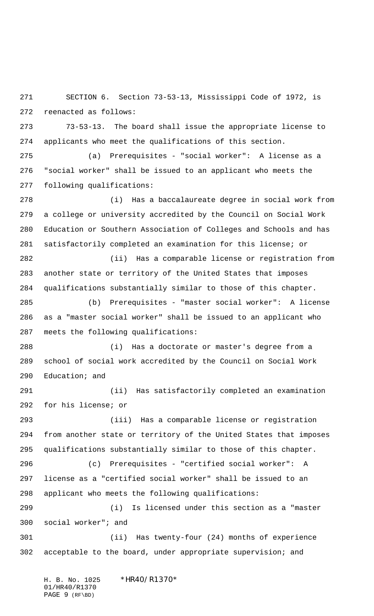SECTION 6. Section 73-53-13, Mississippi Code of 1972, is reenacted as follows:

 73-53-13. The board shall issue the appropriate license to applicants who meet the qualifications of this section.

 (a) Prerequisites - "social worker": A license as a "social worker" shall be issued to an applicant who meets the following qualifications:

 (i) Has a baccalaureate degree in social work from a college or university accredited by the Council on Social Work Education or Southern Association of Colleges and Schools and has satisfactorily completed an examination for this license; or

 (ii) Has a comparable license or registration from another state or territory of the United States that imposes qualifications substantially similar to those of this chapter.

 (b) Prerequisites - "master social worker": A license as a "master social worker" shall be issued to an applicant who meets the following qualifications:

 (i) Has a doctorate or master's degree from a school of social work accredited by the Council on Social Work Education; and

 (ii) Has satisfactorily completed an examination for his license; or

 (iii) Has a comparable license or registration from another state or territory of the United States that imposes qualifications substantially similar to those of this chapter.

 (c) Prerequisites - "certified social worker": A license as a "certified social worker" shall be issued to an applicant who meets the following qualifications:

 (i) Is licensed under this section as a "master social worker"; and

 (ii) Has twenty-four (24) months of experience acceptable to the board, under appropriate supervision; and

H. B. No. 1025 \*HR40/R1370\* 01/HR40/R1370 PAGE 9 (RF\BD)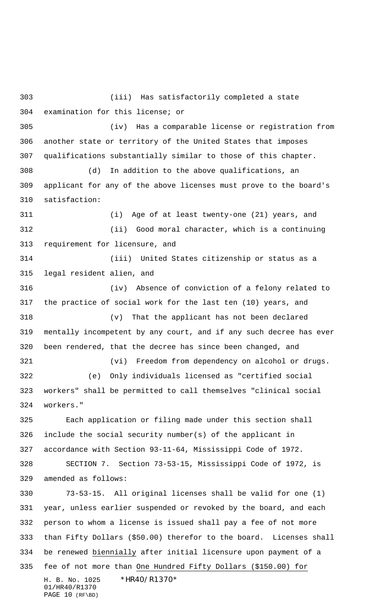H. B. No. 1025 \*HR40/R1370\* 01/HR40/R1370 PAGE 10 (RF\BD) (iii) Has satisfactorily completed a state examination for this license; or (iv) Has a comparable license or registration from another state or territory of the United States that imposes qualifications substantially similar to those of this chapter. (d) In addition to the above qualifications, an applicant for any of the above licenses must prove to the board's satisfaction: (i) Age of at least twenty-one (21) years, and (ii) Good moral character, which is a continuing requirement for licensure, and (iii) United States citizenship or status as a legal resident alien, and (iv) Absence of conviction of a felony related to the practice of social work for the last ten (10) years, and (v) That the applicant has not been declared mentally incompetent by any court, and if any such decree has ever been rendered, that the decree has since been changed, and (vi) Freedom from dependency on alcohol or drugs. (e) Only individuals licensed as "certified social workers" shall be permitted to call themselves "clinical social workers." Each application or filing made under this section shall include the social security number(s) of the applicant in accordance with Section 93-11-64, Mississippi Code of 1972. SECTION 7. Section 73-53-15, Mississippi Code of 1972, is amended as follows: 73-53-15. All original licenses shall be valid for one (1) year, unless earlier suspended or revoked by the board, and each person to whom a license is issued shall pay a fee of not more than Fifty Dollars (\$50.00) therefor to the board. Licenses shall be renewed biennially after initial licensure upon payment of a fee of not more than One Hundred Fifty Dollars (\$150.00) for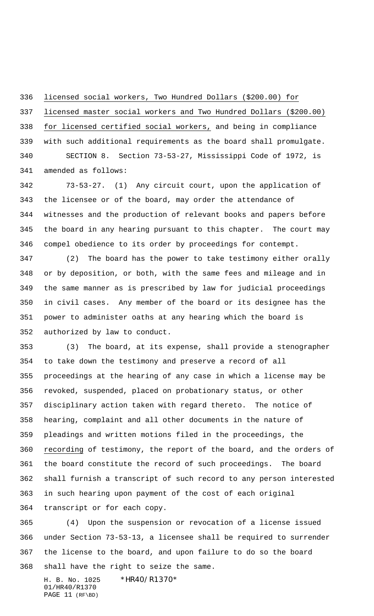licensed social workers, Two Hundred Dollars (\$200.00) for

licensed master social workers and Two Hundred Dollars (\$200.00)

 for licensed certified social workers, and being in compliance with such additional requirements as the board shall promulgate. SECTION 8. Section 73-53-27, Mississippi Code of 1972, is

amended as follows:

 73-53-27. (1) Any circuit court, upon the application of the licensee or of the board, may order the attendance of witnesses and the production of relevant books and papers before the board in any hearing pursuant to this chapter. The court may compel obedience to its order by proceedings for contempt.

 (2) The board has the power to take testimony either orally or by deposition, or both, with the same fees and mileage and in the same manner as is prescribed by law for judicial proceedings in civil cases. Any member of the board or its designee has the power to administer oaths at any hearing which the board is authorized by law to conduct.

 (3) The board, at its expense, shall provide a stenographer to take down the testimony and preserve a record of all proceedings at the hearing of any case in which a license may be revoked, suspended, placed on probationary status, or other disciplinary action taken with regard thereto. The notice of hearing, complaint and all other documents in the nature of pleadings and written motions filed in the proceedings, the recording of testimony, the report of the board, and the orders of the board constitute the record of such proceedings. The board shall furnish a transcript of such record to any person interested in such hearing upon payment of the cost of each original transcript or for each copy.

 (4) Upon the suspension or revocation of a license issued under Section 73-53-13, a licensee shall be required to surrender the license to the board, and upon failure to do so the board shall have the right to seize the same.

H. B. No. 1025 \*HR40/R1370\* 01/HR40/R1370 PAGE 11 (RF\BD)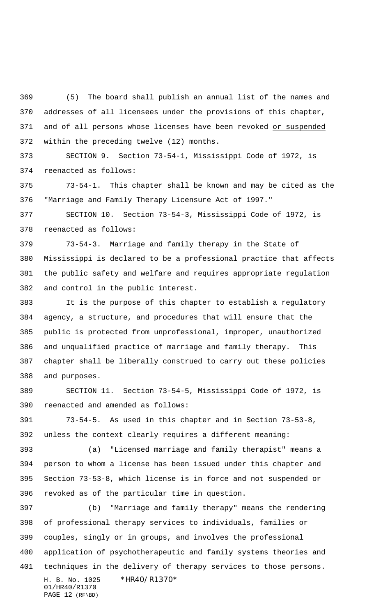(5) The board shall publish an annual list of the names and addresses of all licensees under the provisions of this chapter, and of all persons whose licenses have been revoked or suspended within the preceding twelve (12) months.

 SECTION 9. Section 73-54-1, Mississippi Code of 1972, is reenacted as follows:

 73-54-1. This chapter shall be known and may be cited as the "Marriage and Family Therapy Licensure Act of 1997."

 SECTION 10. Section 73-54-3, Mississippi Code of 1972, is reenacted as follows:

 73-54-3. Marriage and family therapy in the State of Mississippi is declared to be a professional practice that affects the public safety and welfare and requires appropriate regulation and control in the public interest.

 It is the purpose of this chapter to establish a regulatory agency, a structure, and procedures that will ensure that the public is protected from unprofessional, improper, unauthorized and unqualified practice of marriage and family therapy. This chapter shall be liberally construed to carry out these policies and purposes.

 SECTION 11. Section 73-54-5, Mississippi Code of 1972, is reenacted and amended as follows:

 73-54-5. As used in this chapter and in Section 73-53-8, unless the context clearly requires a different meaning:

 (a) "Licensed marriage and family therapist" means a person to whom a license has been issued under this chapter and Section 73-53-8, which license is in force and not suspended or revoked as of the particular time in question.

H. B. No. 1025 \*HR40/R1370\* 01/HR40/R1370 (b) "Marriage and family therapy" means the rendering of professional therapy services to individuals, families or couples, singly or in groups, and involves the professional application of psychotherapeutic and family systems theories and techniques in the delivery of therapy services to those persons.

```
PAGE 12 (RF\BD)
```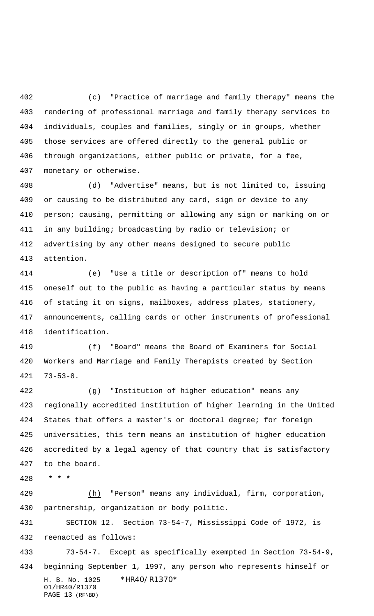(c) "Practice of marriage and family therapy" means the rendering of professional marriage and family therapy services to individuals, couples and families, singly or in groups, whether those services are offered directly to the general public or through organizations, either public or private, for a fee, monetary or otherwise.

 (d) "Advertise" means, but is not limited to, issuing or causing to be distributed any card, sign or device to any person; causing, permitting or allowing any sign or marking on or in any building; broadcasting by radio or television; or advertising by any other means designed to secure public attention.

 (e) "Use a title or description of" means to hold oneself out to the public as having a particular status by means of stating it on signs, mailboxes, address plates, stationery, announcements, calling cards or other instruments of professional identification.

 (f) "Board" means the Board of Examiners for Social Workers and Marriage and Family Therapists created by Section 73-53-8.

 (g) "Institution of higher education" means any regionally accredited institution of higher learning in the United States that offers a master's or doctoral degree; for foreign universities, this term means an institution of higher education accredited by a legal agency of that country that is satisfactory to the board.

 **\* \* \***

 (h) "Person" means any individual, firm, corporation, partnership, organization or body politic.

 SECTION 12. Section 73-54-7, Mississippi Code of 1972, is reenacted as follows:

H. B. No. 1025 \*HR40/R1370\* 01/HR40/R1370 73-54-7. Except as specifically exempted in Section 73-54-9, beginning September 1, 1997, any person who represents himself or

```
PAGE 13 (RF\BD)
```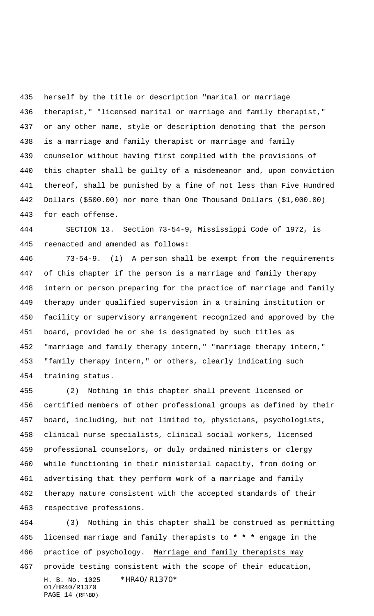herself by the title or description "marital or marriage therapist," "licensed marital or marriage and family therapist," or any other name, style or description denoting that the person is a marriage and family therapist or marriage and family counselor without having first complied with the provisions of this chapter shall be guilty of a misdemeanor and, upon conviction thereof, shall be punished by a fine of not less than Five Hundred Dollars (\$500.00) nor more than One Thousand Dollars (\$1,000.00) for each offense.

 SECTION 13. Section 73-54-9, Mississippi Code of 1972, is reenacted and amended as follows:

 73-54-9. (1) A person shall be exempt from the requirements of this chapter if the person is a marriage and family therapy intern or person preparing for the practice of marriage and family therapy under qualified supervision in a training institution or facility or supervisory arrangement recognized and approved by the board, provided he or she is designated by such titles as "marriage and family therapy intern," "marriage therapy intern," "family therapy intern," or others, clearly indicating such training status.

 (2) Nothing in this chapter shall prevent licensed or certified members of other professional groups as defined by their board, including, but not limited to, physicians, psychologists, clinical nurse specialists, clinical social workers, licensed professional counselors, or duly ordained ministers or clergy while functioning in their ministerial capacity, from doing or advertising that they perform work of a marriage and family therapy nature consistent with the accepted standards of their respective professions.

 (3) Nothing in this chapter shall be construed as permitting licensed marriage and family therapists to **\* \* \*** engage in the 466 practice of psychology. Marriage and family therapists may provide testing consistent with the scope of their education,

H. B. No. 1025 \*HR40/R1370\* 01/HR40/R1370 PAGE 14 (RF\BD)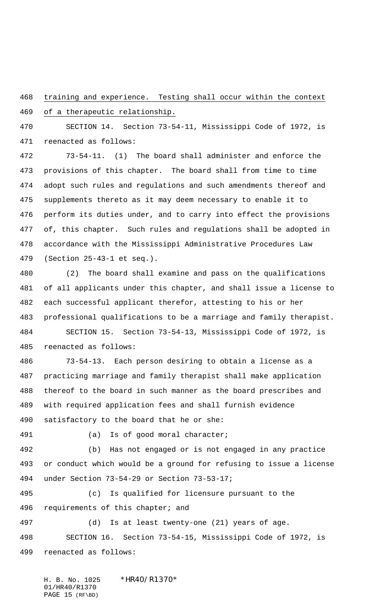training and experience. Testing shall occur within the context

of a therapeutic relationship.

 SECTION 14. Section 73-54-11, Mississippi Code of 1972, is reenacted as follows:

 73-54-11. (1) The board shall administer and enforce the provisions of this chapter. The board shall from time to time adopt such rules and regulations and such amendments thereof and supplements thereto as it may deem necessary to enable it to perform its duties under, and to carry into effect the provisions of, this chapter. Such rules and regulations shall be adopted in accordance with the Mississippi Administrative Procedures Law (Section 25-43-1 et seq.).

 (2) The board shall examine and pass on the qualifications of all applicants under this chapter, and shall issue a license to each successful applicant therefor, attesting to his or her professional qualifications to be a marriage and family therapist. SECTION 15. Section 73-54-13, Mississippi Code of 1972, is reenacted as follows:

 73-54-13. Each person desiring to obtain a license as a practicing marriage and family therapist shall make application thereof to the board in such manner as the board prescribes and with required application fees and shall furnish evidence satisfactory to the board that he or she:

(a) Is of good moral character;

 (b) Has not engaged or is not engaged in any practice or conduct which would be a ground for refusing to issue a license under Section 73-54-29 or Section 73-53-17;

 (c) Is qualified for licensure pursuant to the 496 requirements of this chapter; and

 (d) Is at least twenty-one (21) years of age. SECTION 16. Section 73-54-15, Mississippi Code of 1972, is reenacted as follows:

H. B. No. 1025 \*HR40/R1370\* 01/HR40/R1370 PAGE 15 (RF\BD)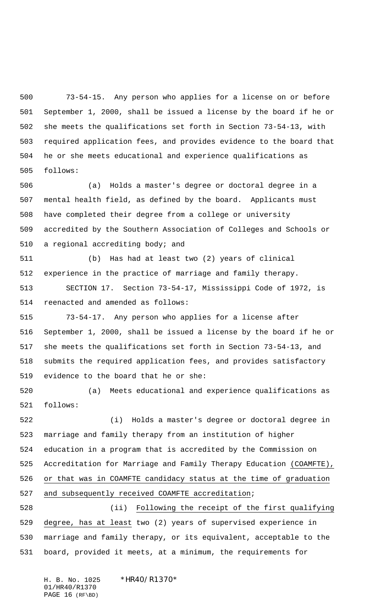73-54-15. Any person who applies for a license on or before September 1, 2000, shall be issued a license by the board if he or she meets the qualifications set forth in Section 73-54-13, with required application fees, and provides evidence to the board that he or she meets educational and experience qualifications as follows:

 (a) Holds a master's degree or doctoral degree in a mental health field, as defined by the board. Applicants must have completed their degree from a college or university accredited by the Southern Association of Colleges and Schools or a regional accrediting body; and

 (b) Has had at least two (2) years of clinical experience in the practice of marriage and family therapy.

 SECTION 17. Section 73-54-17, Mississippi Code of 1972, is reenacted and amended as follows:

 73-54-17. Any person who applies for a license after September 1, 2000, shall be issued a license by the board if he or she meets the qualifications set forth in Section 73-54-13, and submits the required application fees, and provides satisfactory evidence to the board that he or she:

 (a) Meets educational and experience qualifications as follows:

 (i) Holds a master's degree or doctoral degree in marriage and family therapy from an institution of higher education in a program that is accredited by the Commission on Accreditation for Marriage and Family Therapy Education (COAMFTE), or that was in COAMFTE candidacy status at the time of graduation and subsequently received COAMFTE accreditation;

 (ii) Following the receipt of the first qualifying degree, has at least two (2) years of supervised experience in marriage and family therapy, or its equivalent, acceptable to the board, provided it meets, at a minimum, the requirements for

H. B. No. 1025 \*HR40/R1370\* 01/HR40/R1370 PAGE 16 (RF\BD)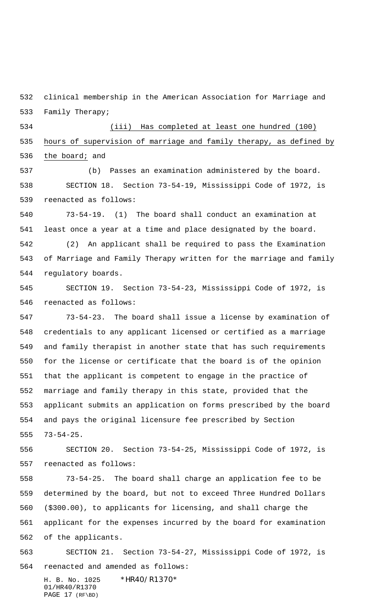clinical membership in the American Association for Marriage and Family Therapy;

 (iii) Has completed at least one hundred (100) hours of supervision of marriage and family therapy, as defined by 536 the board; and

 (b) Passes an examination administered by the board. SECTION 18. Section 73-54-19, Mississippi Code of 1972, is reenacted as follows:

 73-54-19. (1) The board shall conduct an examination at least once a year at a time and place designated by the board. (2) An applicant shall be required to pass the Examination of Marriage and Family Therapy written for the marriage and family

 SECTION 19. Section 73-54-23, Mississippi Code of 1972, is reenacted as follows:

regulatory boards.

 73-54-23. The board shall issue a license by examination of credentials to any applicant licensed or certified as a marriage and family therapist in another state that has such requirements for the license or certificate that the board is of the opinion that the applicant is competent to engage in the practice of marriage and family therapy in this state, provided that the applicant submits an application on forms prescribed by the board and pays the original licensure fee prescribed by Section 73-54-25.

 SECTION 20. Section 73-54-25, Mississippi Code of 1972, is reenacted as follows:

 73-54-25. The board shall charge an application fee to be determined by the board, but not to exceed Three Hundred Dollars (\$300.00), to applicants for licensing, and shall charge the applicant for the expenses incurred by the board for examination of the applicants.

 SECTION 21. Section 73-54-27, Mississippi Code of 1972, is reenacted and amended as follows:

H. B. No. 1025 \*HR40/R1370\* 01/HR40/R1370 PAGE 17 (RF\BD)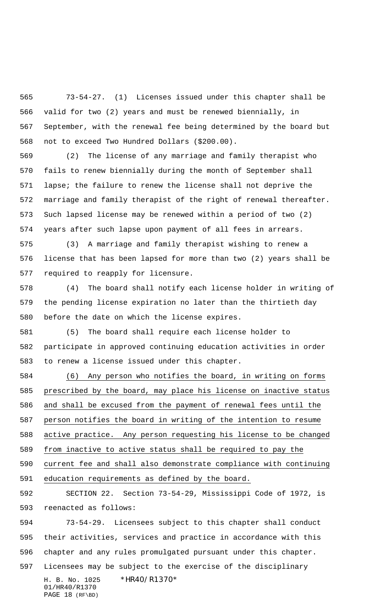73-54-27. (1) Licenses issued under this chapter shall be valid for two (2) years and must be renewed biennially, in September, with the renewal fee being determined by the board but not to exceed Two Hundred Dollars (\$200.00).

 (2) The license of any marriage and family therapist who fails to renew biennially during the month of September shall lapse; the failure to renew the license shall not deprive the marriage and family therapist of the right of renewal thereafter. Such lapsed license may be renewed within a period of two (2) years after such lapse upon payment of all fees in arrears.

 (3) A marriage and family therapist wishing to renew a license that has been lapsed for more than two (2) years shall be required to reapply for licensure.

 (4) The board shall notify each license holder in writing of the pending license expiration no later than the thirtieth day before the date on which the license expires.

 (5) The board shall require each license holder to participate in approved continuing education activities in order to renew a license issued under this chapter.

 (6) Any person who notifies the board, in writing on forms prescribed by the board, may place his license on inactive status and shall be excused from the payment of renewal fees until the person notifies the board in writing of the intention to resume active practice. Any person requesting his license to be changed from inactive to active status shall be required to pay the current fee and shall also demonstrate compliance with continuing education requirements as defined by the board.

 SECTION 22. Section 73-54-29, Mississippi Code of 1972, is reenacted as follows:

H. B. No. 1025 \*HR40/R1370\* 01/HR40/R1370 73-54-29. Licensees subject to this chapter shall conduct their activities, services and practice in accordance with this chapter and any rules promulgated pursuant under this chapter. Licensees may be subject to the exercise of the disciplinary

PAGE 18 (RF\BD)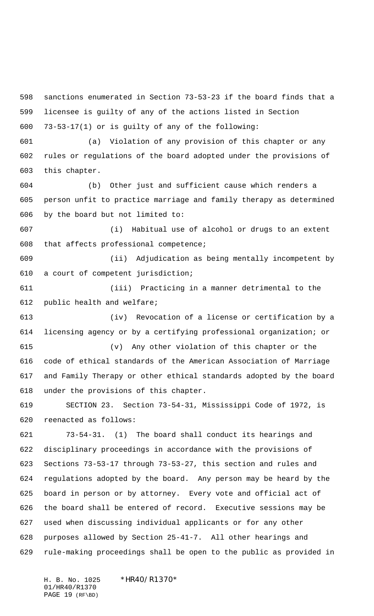sanctions enumerated in Section 73-53-23 if the board finds that a licensee is guilty of any of the actions listed in Section 73-53-17(1) or is guilty of any of the following:

 (a) Violation of any provision of this chapter or any rules or regulations of the board adopted under the provisions of this chapter.

 (b) Other just and sufficient cause which renders a person unfit to practice marriage and family therapy as determined by the board but not limited to:

 (i) Habitual use of alcohol or drugs to an extent that affects professional competence;

 (ii) Adjudication as being mentally incompetent by a court of competent jurisdiction;

 (iii) Practicing in a manner detrimental to the public health and welfare;

 (iv) Revocation of a license or certification by a licensing agency or by a certifying professional organization; or

 (v) Any other violation of this chapter or the code of ethical standards of the American Association of Marriage and Family Therapy or other ethical standards adopted by the board under the provisions of this chapter.

 SECTION 23. Section 73-54-31, Mississippi Code of 1972, is reenacted as follows:

 73-54-31. (1) The board shall conduct its hearings and disciplinary proceedings in accordance with the provisions of Sections 73-53-17 through 73-53-27, this section and rules and regulations adopted by the board. Any person may be heard by the board in person or by attorney. Every vote and official act of the board shall be entered of record. Executive sessions may be used when discussing individual applicants or for any other purposes allowed by Section 25-41-7. All other hearings and rule-making proceedings shall be open to the public as provided in

H. B. No. 1025 \*HR40/R1370\* 01/HR40/R1370 PAGE 19 (RF\BD)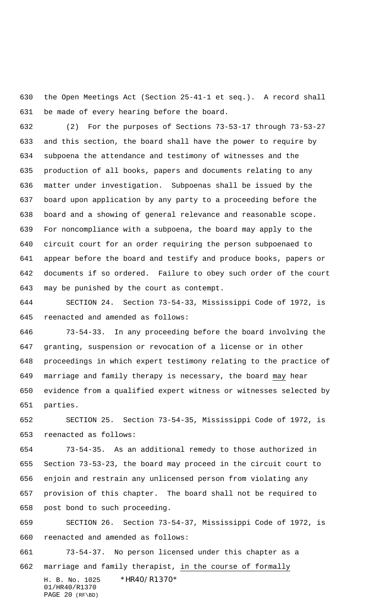the Open Meetings Act (Section 25-41-1 et seq.). A record shall be made of every hearing before the board.

 (2) For the purposes of Sections 73-53-17 through 73-53-27 and this section, the board shall have the power to require by subpoena the attendance and testimony of witnesses and the production of all books, papers and documents relating to any matter under investigation. Subpoenas shall be issued by the board upon application by any party to a proceeding before the board and a showing of general relevance and reasonable scope. For noncompliance with a subpoena, the board may apply to the circuit court for an order requiring the person subpoenaed to appear before the board and testify and produce books, papers or documents if so ordered. Failure to obey such order of the court may be punished by the court as contempt.

 SECTION 24. Section 73-54-33, Mississippi Code of 1972, is reenacted and amended as follows:

 73-54-33. In any proceeding before the board involving the granting, suspension or revocation of a license or in other proceedings in which expert testimony relating to the practice of marriage and family therapy is necessary, the board may hear evidence from a qualified expert witness or witnesses selected by parties.

 SECTION 25. Section 73-54-35, Mississippi Code of 1972, is reenacted as follows:

 73-54-35. As an additional remedy to those authorized in Section 73-53-23, the board may proceed in the circuit court to enjoin and restrain any unlicensed person from violating any provision of this chapter. The board shall not be required to post bond to such proceeding.

 SECTION 26. Section 73-54-37, Mississippi Code of 1972, is reenacted and amended as follows:

H. B. No. 1025 \*HR40/R1370\* 01/HR40/R1370 PAGE 20 (RF\BD) 73-54-37. No person licensed under this chapter as a 662 marriage and family therapist, in the course of formally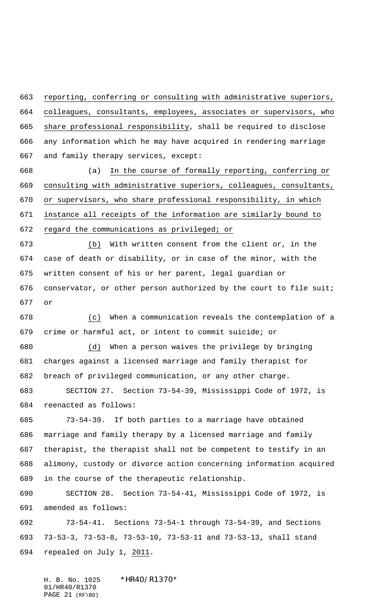reporting, conferring or consulting with administrative superiors, colleagues, consultants, employees, associates or supervisors, who share professional responsibility, shall be required to disclose any information which he may have acquired in rendering marriage

and family therapy services, except:

 (a) In the course of formally reporting, conferring or consulting with administrative superiors, colleagues, consultants, or supervisors, who share professional responsibility, in which instance all receipts of the information are similarly bound to regard the communications as privileged; or

 (b) With written consent from the client or, in the case of death or disability, or in case of the minor, with the written consent of his or her parent, legal guardian or conservator, or other person authorized by the court to file suit; or

 (c) When a communication reveals the contemplation of a crime or harmful act, or intent to commit suicide; or

 (d) When a person waives the privilege by bringing charges against a licensed marriage and family therapist for breach of privileged communication, or any other charge.

 SECTION 27. Section 73-54-39, Mississippi Code of 1972, is reenacted as follows:

 73-54-39. If both parties to a marriage have obtained marriage and family therapy by a licensed marriage and family therapist, the therapist shall not be competent to testify in an alimony, custody or divorce action concerning information acquired in the course of the therapeutic relationship.

 SECTION 28. Section 73-54-41, Mississippi Code of 1972, is amended as follows:

 73-54-41. Sections 73-54-1 through 73-54-39, and Sections 73-53-3, 73-53-8, 73-53-10, 73-53-11 and 73-53-13, shall stand repealed on July 1, 2011.

H. B. No. 1025 \*HR40/R1370\* 01/HR40/R1370 PAGE 21 (RF\BD)